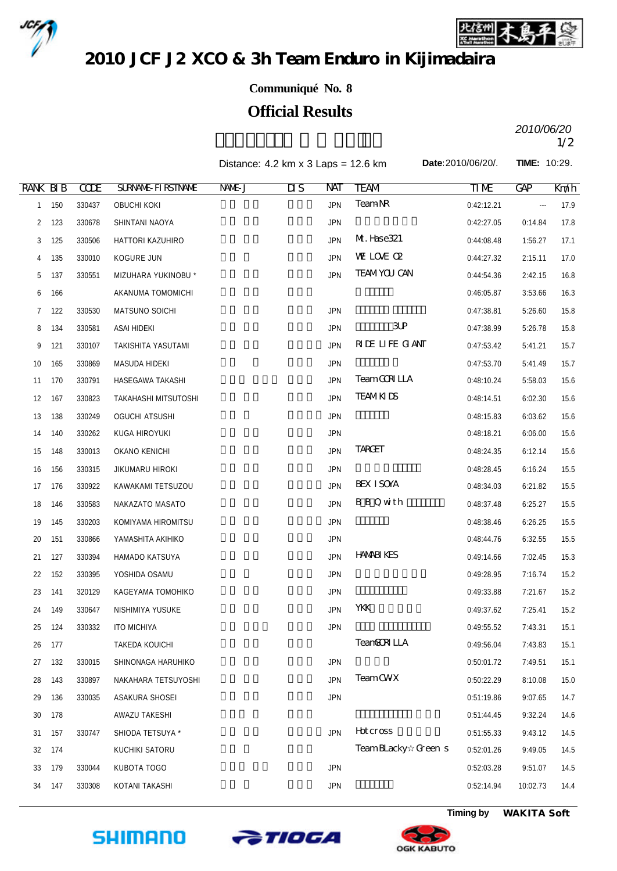



2010 JCF J2 XCO & 3h Team Enduro in Kijimadaira

## **Communiqué No. 8**

## **Official Results**

 $2010/00720$ *2010/06/20*

|                 |     |             |                           | Distance: $4.2 \text{ km} \times 3 \text{ Laps} = 12.6 \text{ km}$ |                        |            |                    | Date: 2010/06/20/. |                          | <b>TIME: 10:29.</b> |  |
|-----------------|-----|-------------|---------------------------|--------------------------------------------------------------------|------------------------|------------|--------------------|--------------------|--------------------------|---------------------|--|
| <b>RANK BIB</b> |     | <b>CODE</b> | <b>SURVANE FIRSTIVANE</b> | NNE J                                                              | $\overline{\text{II}}$ | NAT        | <b>TEAM</b>        | <b>TIME</b>        | GAP                      | Kml                 |  |
| $\mathbf{1}$    | 150 | 330437      | <b>OBUCHI KOKI</b>        |                                                                    |                        | <b>JPN</b> | <b>TeamNR</b>      | 0:42:12.21         | $\overline{\phantom{a}}$ | 17.9                |  |
| $\overline{2}$  | 123 | 330678      | SHINTANI NAOYA            |                                                                    |                        | <b>JPN</b> |                    | 0:42:27.05         | 0:14.84                  | 17.8                |  |
| 3               | 125 | 330506      | HATTORI KAZUHIRO          |                                                                    |                        | <b>JPN</b> | M. Hase321         | 0:44:08.48         | 1:56.27                  | 17.1                |  |
| 4               | 135 | 330010      | KOGURE JUN                |                                                                    |                        | <b>JPN</b> | WE LOVE OP         | 0:44:27.32         | 2:15.11                  | 17.0                |  |
| 5               | 137 | 330551      | MIZUHARA YUKINOBU *       |                                                                    |                        | <b>JPN</b> | <b>TEAMYOU CAN</b> | 0:44:54.36         | 2:42.15                  | 16.8                |  |
| 6               | 166 |             | AKANUMA TOMOMICHI         |                                                                    |                        |            |                    | 0:46:05.87         | 3:53.66                  | 16.3                |  |
| $7\phantom{.}$  | 122 | 330530      | MATSUNO SOICHI            |                                                                    |                        | <b>JPN</b> |                    | 0:47:38.81         | 5:26.60                  | 15.8                |  |
| 8               | 134 | 330581      | ASAI HIDEKI               |                                                                    |                        | <b>JPN</b> | $3$ UP             | 0:47:38.99         | 5:26.78                  | 15.8                |  |
| 9               | 121 | 330107      | TAKISHITA YASUTAMI        |                                                                    |                        | <b>JPN</b> | RIE LIFE GANT      | 0:47:53.42         | 5:41.21                  | 15.7                |  |
| 10              | 165 | 330869      | MASUDA HIDEKI             |                                                                    |                        | <b>JPN</b> |                    | 0:47:53.70         | 5:41.49                  | 15.7                |  |
| 11              | 170 | 330791      | HASEGAWA TAKASHI          |                                                                    |                        | <b>JPN</b> | <b>TeamGRILLA</b>  | 0:48:10.24         | 5:58.03                  | 15.6                |  |
| 12              | 167 | 330823      | TAKAHASHI MITSUTOSHI      |                                                                    |                        | <b>JPN</b> | <b>TEAMKIDS</b>    | 0:48:14.51         | 6:02.30                  | 15.6                |  |
| 13              | 138 | 330249      | <b>OGUCHI ATSUSHI</b>     |                                                                    |                        | <b>JPN</b> |                    | 0:48:15.83         | 6:03.62                  | 15.6                |  |
| 14              | 140 | 330262      | KUGA HIROYUKI             |                                                                    |                        | <b>JPN</b> |                    | 0:48:18.21         | 6:06.00                  | 15.6                |  |
| 15              | 148 | 330013      | OKANO KENICHI             |                                                                    |                        | <b>JPN</b> | <b>TARGET</b>      | 0:48:24.35         | 6:12.14                  | 15.6                |  |
| 16              | 156 | 330315      | JIKUMARU HIROKI           |                                                                    |                        | <b>JPN</b> |                    | 0:48:28.45         | 6:16.24                  | 15.5                |  |
| 17              | 176 | 330922      | KAWAKAMI TETSUZOU         |                                                                    |                        | <b>JPN</b> | <b>BEX ISOYA</b>   | 0:48:34.03         | 6:21.82                  | 15.5                |  |
| 18              | 146 | 330583      | NAKAZATO MASATO           |                                                                    |                        | <b>JPN</b> | <b>BBQwith</b>     | 0:48:37.48         | 6:25.27                  | 15.5                |  |
| 19              | 145 | 330203      | KOMIYAMA HIROMITSU        |                                                                    |                        | <b>JPN</b> |                    | 0:48:38.46         | 6:26.25                  | 15.5                |  |
| 20              | 151 | 330866      | YAMASHITA AKIHIKO         |                                                                    |                        | <b>JPN</b> |                    | 0:48:44.76         | 6:32.55                  | 15.5                |  |
| 21              | 127 | 330394      | HAMADO KATSUYA            |                                                                    |                        | <b>JPN</b> | <b>HAMBIKES</b>    | 0:49:14.66         | 7:02.45                  | 15.3                |  |
| 22              | 152 | 330395      | YOSHIDA OSAMU             |                                                                    |                        | <b>JPN</b> |                    | 0:49:28.95         | 7:16.74                  | 15.2                |  |
| 23              | 141 | 320129      | KAGEYAMA TOMOHIKO         |                                                                    |                        | <b>JPN</b> |                    | 0:49:33.88         | 7:21.67                  | 15.2                |  |
| 24              | 149 | 330647      | NISHIMIYA YUSUKE          |                                                                    |                        | <b>JPN</b> | YKK                | 0:49:37.62         | 7:25.41                  | 15.2                |  |
| 25              | 124 | 330332      | <b>ITO MICHIYA</b>        |                                                                    |                        | <b>JPN</b> |                    | 0:49:55.52         | 7:43.31                  | 15.1                |  |
| 26              | 177 |             | TAKEDA KOUICHI            |                                                                    |                        |            | TeanGCRILLA        | 0:49:56.04         | 7:43.83                  | 15.1                |  |
| 27              | 132 | 330015      | SHINONAGA HARUHIKO        |                                                                    |                        | <b>JPN</b> |                    | 0:50:01.72         | 7:49.51                  | 15.1                |  |
| 28              | 143 | 330897      | NAKAHARA TETSUYOSHI       |                                                                    |                        | <b>JPN</b> | <b>TeamCWX</b>     | 0:50:22.29         | 8:10.08                  | 15.0                |  |
| 29              | 136 | 330035      | ASAKURA SHOSEI            |                                                                    |                        | <b>JPN</b> |                    | 0:51:19.86         | 9:07.65                  | 14.7                |  |
| 30              | 178 |             | AWAZU TAKESHI             |                                                                    |                        |            |                    | 0:51:44.45         | 9:32.24                  | 14.6                |  |
| 31              | 157 | 330747      | SHIODA TETSUYA *          |                                                                    |                        | <b>JPN</b> | Hotcross           | 0:51:55.33         | 9:43.12                  | 14.5                |  |
| 32              | 174 |             | KUCHIKI SATORU            |                                                                    |                        |            | TeamBLacky Green s | 0:52:01.26         | 9:49.05                  | 14.5                |  |





 179 330044 KUBOTA TOGO 久保田 冬吾 宮城県 JPN 0:52:03.28 9:51.07 14.5 34 147 330308 KOTANI TAKASHI 1999 NASA SERI SERI JPN DENGAN DENGAN 10:02.73 14.4